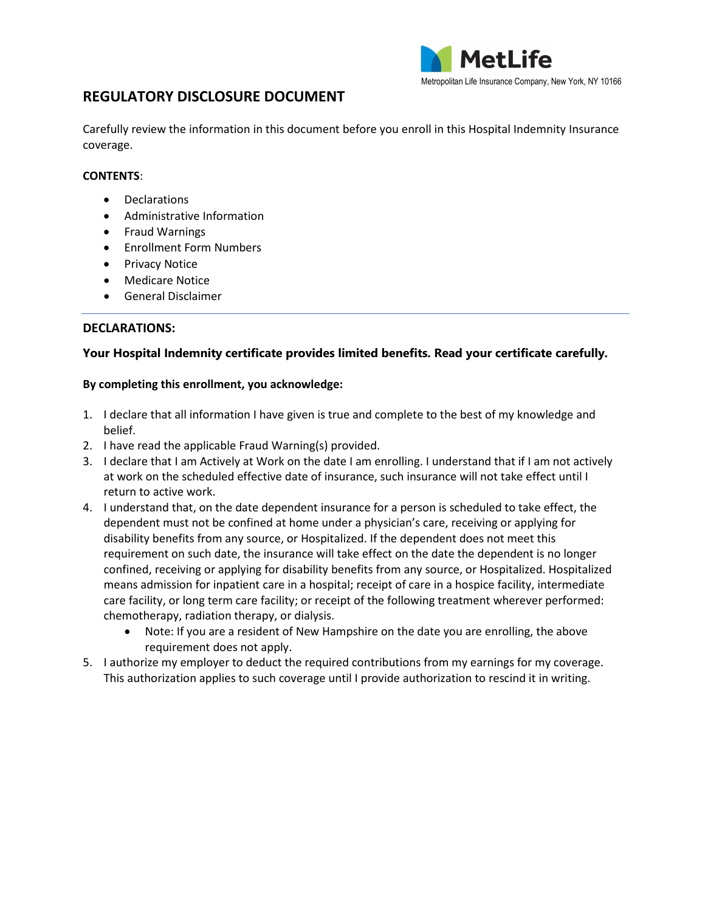

# **REGULATORY DISCLOSURE DOCUMENT**

Carefully review the information in this document before you enroll in this Hospital Indemnity Insurance coverage.

# **CONTENTS**:

- Declarations
- Administrative Information
- Fraud Warnings
- Enrollment Form Numbers
- Privacy Notice
- Medicare Notice
- General Disclaimer

# **DECLARATIONS:**

# **Your Hospital Indemnity certificate provides limited benefits. Read your certificate carefully.**

#### **By completing this enrollment, you acknowledge:**

- 1. I declare that all information I have given is true and complete to the best of my knowledge and belief.
- 2. I have read the applicable Fraud Warning(s) provided.
- 3. I declare that I am Actively at Work on the date I am enrolling. I understand that if I am not actively at work on the scheduled effective date of insurance, such insurance will not take effect until I return to active work.
- 4. I understand that, on the date dependent insurance for a person is scheduled to take effect, the dependent must not be confined at home under a physician's care, receiving or applying for disability benefits from any source, or Hospitalized. If the dependent does not meet this requirement on such date, the insurance will take effect on the date the dependent is no longer confined, receiving or applying for disability benefits from any source, or Hospitalized. Hospitalized means admission for inpatient care in a hospital; receipt of care in a hospice facility, intermediate care facility, or long term care facility; or receipt of the following treatment wherever performed: chemotherapy, radiation therapy, or dialysis.
	- Note: If you are a resident of New Hampshire on the date you are enrolling, the above requirement does not apply.
- 5. I authorize my employer to deduct the required contributions from my earnings for my coverage. This authorization applies to such coverage until I provide authorization to rescind it in writing.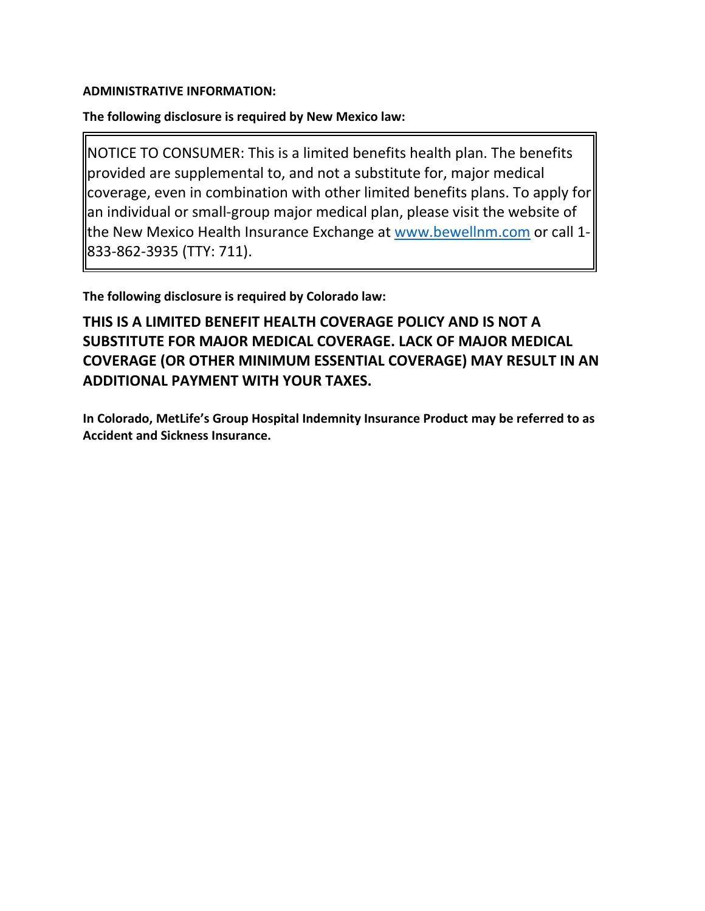# **ADMINISTRATIVE INFORMATION:**

# **The following disclosure is required by New Mexico law:**

NOTICE TO CONSUMER: This is a limited benefits health plan. The benefits provided are supplemental to, and not a substitute for, major medical coverage, even in combination with other limited benefits plans. To apply for an individual or small-group major medical plan, please visit the website of the New Mexico Health Insurance Exchange at [www.bewellnm.com](http://www.bewellnm.com/) or call 1- 833-862-3935 (TTY: 711).

**The following disclosure is required by Colorado law:**

**THIS IS A LIMITED BENEFIT HEALTH COVERAGE POLICY AND IS NOT A SUBSTITUTE FOR MAJOR MEDICAL COVERAGE. LACK OF MAJOR MEDICAL COVERAGE (OR OTHER MINIMUM ESSENTIAL COVERAGE) MAY RESULT IN AN ADDITIONAL PAYMENT WITH YOUR TAXES.**

**In Colorado, MetLife's Group Hospital Indemnity Insurance Product may be referred to as Accident and Sickness Insurance.**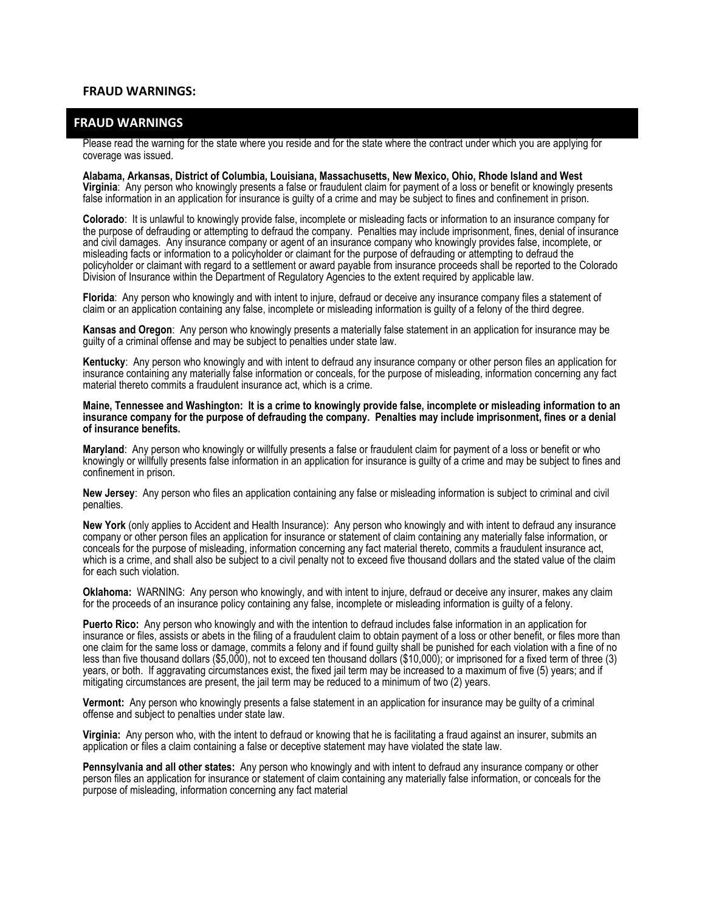#### **FRAUD WARNINGS:**

#### **FRAUD WARNINGS**

Please read the warning for the state where you reside and for the state where the contract under which you are applying for coverage was issued.

**Alabama, Arkansas, District of Columbia, Louisiana, Massachusetts, New Mexico, Ohio, Rhode Island and West Virginia**: Any person who knowingly presents a false or fraudulent claim for payment of a loss or benefit or knowingly presents false information in an application for insurance is guilty of a crime and may be subject to fines and confinement in prison.

**Colorado**: It is unlawful to knowingly provide false, incomplete or misleading facts or information to an insurance company for the purpose of defrauding or attempting to defraud the company. Penalties may include imprisonment, fines, denial of insurance and civil damages. Any insurance company or agent of an insurance company who knowingly provides false, incomplete, or misleading facts or information to a policyholder or claimant for the purpose of defrauding or attempting to defraud the policyholder or claimant with regard to a settlement or award payable from insurance proceeds shall be reported to the Colorado Division of Insurance within the Department of Regulatory Agencies to the extent required by applicable law.

**Florida**: Any person who knowingly and with intent to injure, defraud or deceive any insurance company files a statement of claim or an application containing any false, incomplete or misleading information is guilty of a felony of the third degree.

**Kansas and Oregon**: Any person who knowingly presents a materially false statement in an application for insurance may be guilty of a criminal offense and may be subject to penalties under state law.

**Kentucky**: Any person who knowingly and with intent to defraud any insurance company or other person files an application for insurance containing any materially false information or conceals, for the purpose of misleading, information concerning any fact material thereto commits a fraudulent insurance act, which is a crime.

#### **Maine, Tennessee and Washington: It is a crime to knowingly provide false, incomplete or misleading information to an insurance company for the purpose of defrauding the company. Penalties may include imprisonment, fines or a denial of insurance benefits.**

**Maryland**: Any person who knowingly or willfully presents a false or fraudulent claim for payment of a loss or benefit or who knowingly or willfully presents false information in an application for insurance is guilty of a crime and may be subject to fines and confinement in prison.

**New Jersey**: Any person who files an application containing any false or misleading information is subject to criminal and civil penalties.

**New York** (only applies to Accident and Health Insurance): Any person who knowingly and with intent to defraud any insurance company or other person files an application for insurance or statement of claim containing any materially false information, or conceals for the purpose of misleading, information concerning any fact material thereto, commits a fraudulent insurance act, which is a crime, and shall also be subject to a civil penalty not to exceed five thousand dollars and the stated value of the claim for each such violation.

**Oklahoma:** WARNING: Any person who knowingly, and with intent to injure, defraud or deceive any insurer, makes any claim for the proceeds of an insurance policy containing any false, incomplete or misleading information is guilty of a felony.

**Puerto Rico:** Any person who knowingly and with the intention to defraud includes false information in an application for insurance or files, assists or abets in the filing of a fraudulent claim to obtain payment of a loss or other benefit, or files more than one claim for the same loss or damage, commits a felony and if found guilty shall be punished for each violation with a fine of no less than five thousand dollars (\$5,000), not to exceed ten thousand dollars (\$10,000); or imprisoned for a fixed term of three (3) years, or both. If aggravating circumstances exist, the fixed jail term may be increased to a maximum of five (5) years; and if mitigating circumstances are present, the jail term may be reduced to a minimum of two (2) years.

**Vermont:** Any person who knowingly presents a false statement in an application for insurance may be guilty of a criminal offense and subject to penalties under state law.

**Virginia:** Any person who, with the intent to defraud or knowing that he is facilitating a fraud against an insurer, submits an application or files a claim containing a false or deceptive statement may have violated the state law.

**Pennsylvania and all other states:** Any person who knowingly and with intent to defraud any insurance company or other person files an application for insurance or statement of claim containing any materially false information, or conceals for the purpose of misleading, information concerning any fact material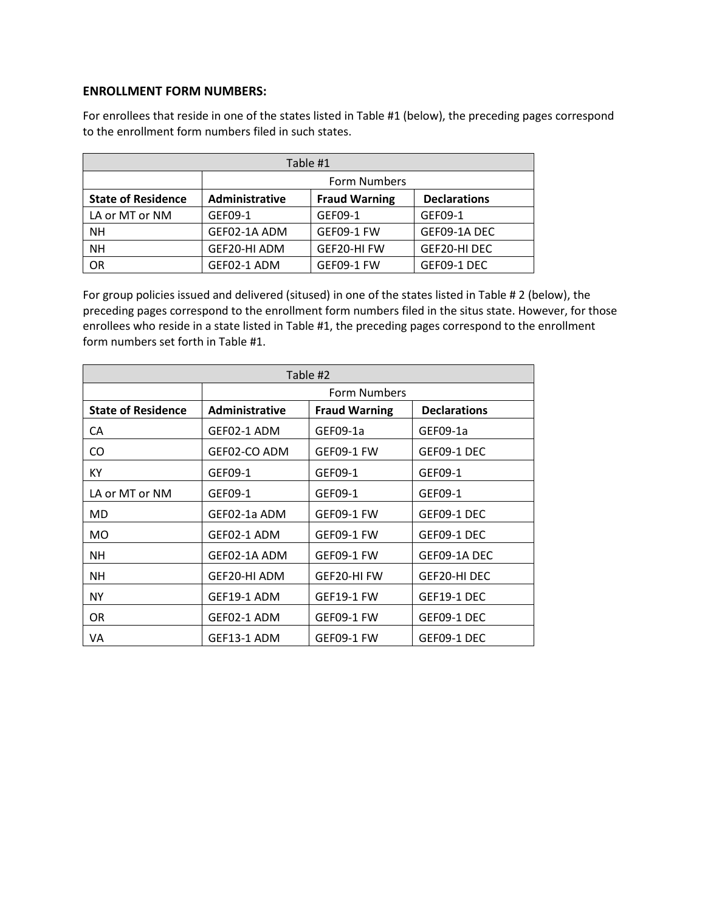# **ENROLLMENT FORM NUMBERS:**

For enrollees that reside in one of the states listed in Table #1 (below), the preceding pages correspond to the enrollment form numbers filed in such states.

| Table #1                  |                |                      |                     |  |
|---------------------------|----------------|----------------------|---------------------|--|
|                           | Form Numbers   |                      |                     |  |
| <b>State of Residence</b> | Administrative | <b>Fraud Warning</b> | <b>Declarations</b> |  |
| LA or MT or NM            | GEF09-1        | GEF09-1              | GEF09-1             |  |
| <b>NH</b>                 | GEF02-1A ADM   | <b>GEF09-1 FW</b>    | GEF09-1A DEC        |  |
| <b>NH</b>                 | GEF20-HI ADM   | GEF20-HI FW          | GEF20-HI DEC        |  |
| OR                        | GEF02-1 ADM    | <b>GEF09-1 FW</b>    | GEF09-1 DEC         |  |

For group policies issued and delivered (sitused) in one of the states listed in Table # 2 (below), the preceding pages correspond to the enrollment form numbers filed in the situs state. However, for those enrollees who reside in a state listed in Table #1, the preceding pages correspond to the enrollment form numbers set forth in Table #1.

| Table #2                  |                       |                      |                     |  |
|---------------------------|-----------------------|----------------------|---------------------|--|
|                           | Form Numbers          |                      |                     |  |
| <b>State of Residence</b> | <b>Administrative</b> | <b>Fraud Warning</b> | <b>Declarations</b> |  |
| CA                        | GEF02-1 ADM           | GEF09-1a             | GEF09-1a            |  |
| CO.                       | GEF02-CO ADM          | GEF09-1 FW           | GEF09-1 DEC         |  |
| KY                        | GEF09-1               | GEF09-1              | GEF09-1             |  |
| LA or MT or NM            | GEF09-1               | GEF09-1              | GEF09-1             |  |
| <b>MD</b>                 | GEF02-1a ADM          | GEF09-1 FW           | GEF09-1 DEC         |  |
| MO.                       | GEF02-1 ADM           | GEF09-1 FW           | GEF09-1 DEC         |  |
| NΗ                        | GEF02-1A ADM          | GEF09-1 FW           | GEF09-1A DEC        |  |
| NΗ                        | GEF20-HI ADM          | GEF20-HI FW          | GEF20-HI DEC        |  |
| NY.                       | GEF19-1 ADM           | <b>GEF19-1 FW</b>    | GEF19-1 DEC         |  |
| OR.                       | GEF02-1 ADM           | GEF09-1 FW           | GEF09-1 DEC         |  |
| VA                        | GEF13-1 ADM           | GEF09-1 FW           | GEF09-1 DEC         |  |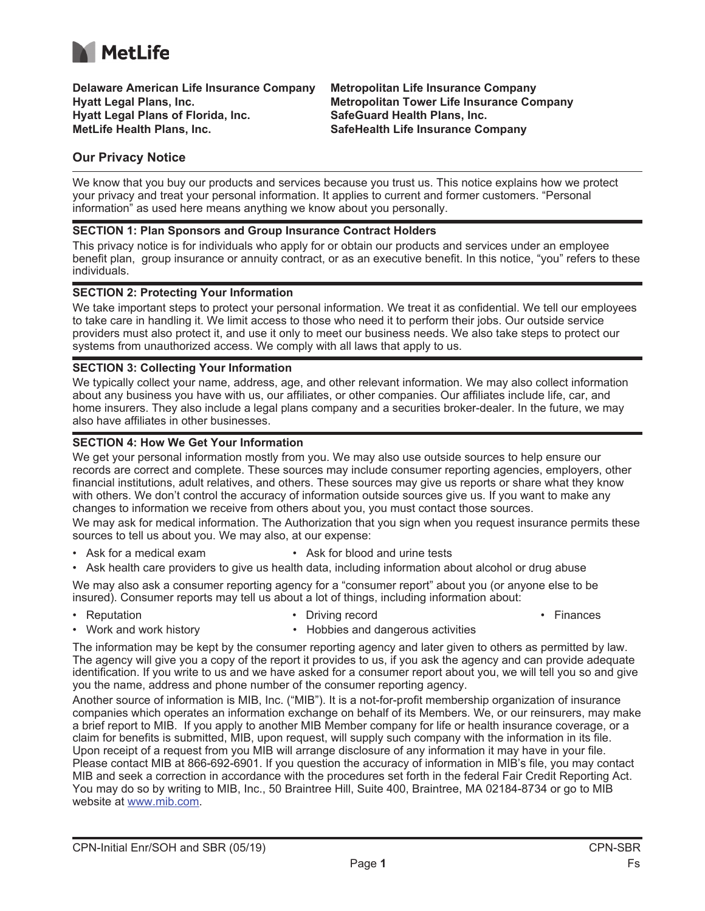

**Delaware American Life Insurance Company Hyatt Legal Plans, Inc. Hyatt Legal Plans of Florida, Inc. MetLife Health Plans, Inc.** 

**Metropolitan Life Insurance Company Metropolitan Tower Life Insurance Company SafeGuard Health Plans, Inc. SafeHealth Life Insurance Company**

# **Our Privacy Notice**

We know that you buy our products and services because you trust us. This notice explains how we protect your privacy and treat your personal information. It applies to current and former customers. "Personal information" as used here means anything we know about you personally.

#### **SECTION 1: Plan Sponsors and Group Insurance Contract Holders**

This privacy notice is for individuals who apply for or obtain our products and services under an employee benefit plan, group insurance or annuity contract, or as an executive benefit. In this notice, "you" refers to these individuals.

#### **SECTION 2: Protecting Your Information**

We take important steps to protect your personal information. We treat it as confidential. We tell our employees to take care in handling it. We limit access to those who need it to perform their jobs. Our outside service providers must also protect it, and use it only to meet our business needs. We also take steps to protect our systems from unauthorized access. We comply with all laws that apply to us.

#### **SECTION 3: Collecting Your Information**

We typically collect your name, address, age, and other relevant information. We may also collect information about any business you have with us, our affiliates, or other companies. Our affiliates include life, car, and home insurers. They also include a legal plans company and a securities broker-dealer. In the future, we may also have affiliates in other businesses.

# **SECTION 4: How We Get Your Information**

We get your personal information mostly from you. We may also use outside sources to help ensure our records are correct and complete. These sources may include consumer reporting agencies, employers, other financial institutions, adult relatives, and others. These sources may give us reports or share what they know with others. We don't control the accuracy of information outside sources give us. If you want to make any changes to information we receive from others about you, you must contact those sources.

We may ask for medical information. The Authorization that you sign when you request insurance permits these sources to tell us about you. We may also, at our expense:

- Ask for a medical exam Ask for blood and urine tests
- Ask health care providers to give us health data, including information about alcohol or drug abuse

We may also ask a consumer reporting agency for a "consumer report" about you (or anyone else to be insured). Consumer reports may tell us about a lot of things, including information about:

- 
- Reputation **Driving record Driving record Finances** 
	-
- Work and work history  **Hobbies and dangerous activities** 
	-

The information may be kept by the consumer reporting agency and later given to others as permitted by law. The agency will give you a copy of the report it provides to us, if you ask the agency and can provide adequate identification. If you write to us and we have asked for a consumer report about you, we will tell you so and give you the name, address and phone number of the consumer reporting agency.

Another source of information is MIB, Inc. ("MIB"). It is a not-for-profit membership organization of insurance companies which operates an information exchange on behalf of its Members. We, or our reinsurers, may make a brief report to MIB. If you apply to another MIB Member company for life or health insurance coverage, or a claim for benefits is submitted, MIB, upon request, will supply such company with the information in its file. Upon receipt of a request from you MIB will arrange disclosure of any information it may have in your file. Please contact MIB at 866-692-6901. If you question the accuracy of information in MIB's file, you may contact MIB and seek a correction in accordance with the procedures set forth in the federal Fair Credit Reporting Act. You may do so by writing to MIB, Inc., 50 Braintree Hill, Suite 400, Braintree, MA 02184-8734 or go to MIB website at www.mib.com.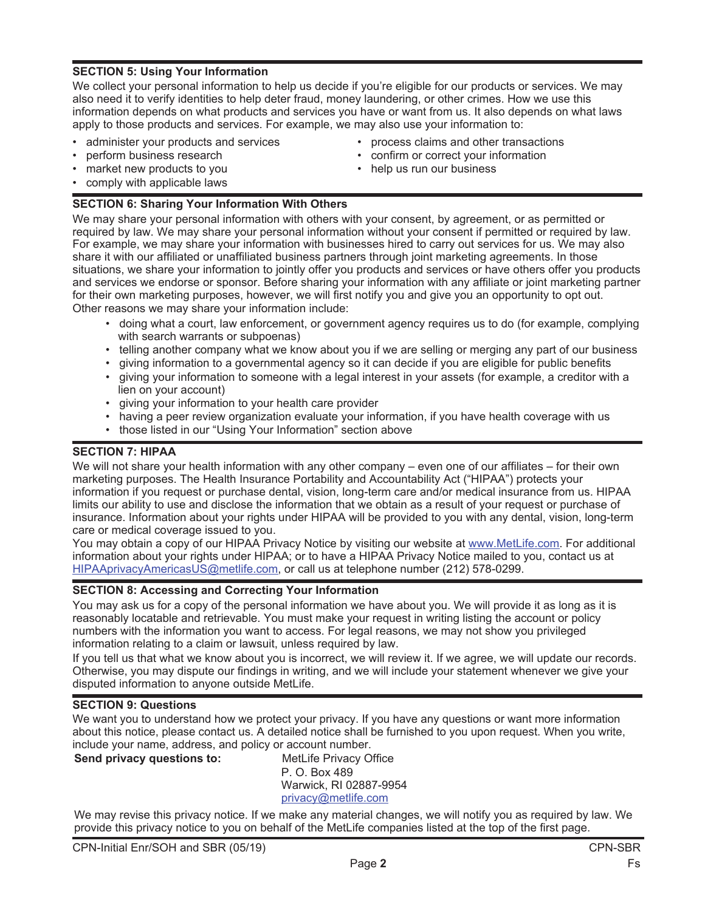# **SECTION 5: Using Your Information**

We collect your personal information to help us decide if you're eligible for our products or services. We may also need it to verify identities to help deter fraud, money laundering, or other crimes. How we use this information depends on what products and services you have or want from us. It also depends on what laws apply to those products and services. For example, we may also use your information to:

- administer your products and services
- perform business research
- market new products to you
- comply with applicable laws

# **SECTION 6: Sharing Your Information With Others**

We may share your personal information with others with your consent, by agreement, or as permitted or required by law. We may share your personal information without your consent if permitted or required by law. For example, we may share your information with businesses hired to carry out services for us. We may also share it with our affiliated or unaffiliated business partners through joint marketing agreements. In those situations, we share your information to jointly offer you products and services or have others offer you products and services we endorse or sponsor. Before sharing your information with any affiliate or joint marketing partner for their own marketing purposes, however, we will first notify you and give you an opportunity to opt out. Other reasons we may share your information include:

- doing what a court, law enforcement, or government agency requires us to do (for example, complying with search warrants or subpoenas)
	- telling another company what we know about you if we are selling or merging any part of our business
	- giving information to a governmental agency so it can decide if you are eligible for public benefits
	- giving your information to someone with a legal interest in your assets (for example, a creditor with a lien on your account)
	- giving your information to your health care provider
	- having a peer review organization evaluate your information, if you have health coverage with us
	- those listed in our "Using Your Information" section above

# **SECTION 7: HIPAA**

We will not share your health information with any other company – even one of our affiliates – for their own marketing purposes. The Health Insurance Portability and Accountability Act ("HIPAA") protects your information if you request or purchase dental, vision, long-term care and/or medical insurance from us. HIPAA limits our ability to use and disclose the information that we obtain as a result of your request or purchase of insurance. Information about your rights under HIPAA will be provided to you with any dental, vision, long-term care or medical coverage issued to you.

You may obtain a copy of our HIPAA Privacy Notice by visiting our website at www.MetLife.com. For additional information about your rights under HIPAA; or to have a HIPAA Privacy Notice mailed to you, contact us at HIPAAprivacyAmericasUS@metlife.com, or call us at telephone number (212) 578-0299.

# **SECTION 8: Accessing and Correcting Your Information**

You may ask us for a copy of the personal information we have about you. We will provide it as long as it is reasonably locatable and retrievable. You must make your request in writing listing the account or policy numbers with the information you want to access. For legal reasons, we may not show you privileged information relating to a claim or lawsuit, unless required by law.

If you tell us that what we know about you is incorrect, we will review it. If we agree, we will update our records. Otherwise, you may dispute our findings in writing, and we will include your statement whenever we give your disputed information to anyone outside MetLife.

# **SECTION 9: Questions**

We want you to understand how we protect your privacy. If you have any questions or want more information about this notice, please contact us. A detailed notice shall be furnished to you upon request. When you write, include your name, address, and policy or account number.

# **Send privacy questions to:** MetLife Privacy Office

P. O. Box 489 Warwick, RI 02887-9954 privacy@metlife.com

We may revise this privacy notice. If we make any material changes, we will notify you as required by law. We provide this privacy notice to you on behalf of the MetLife companies listed at the top of the first page.

**Page 2** France **Page 2** France **2** France **Page 2** France **Page 2** 

- process claims and other transactions
- confirm or correct your information
- help us run our business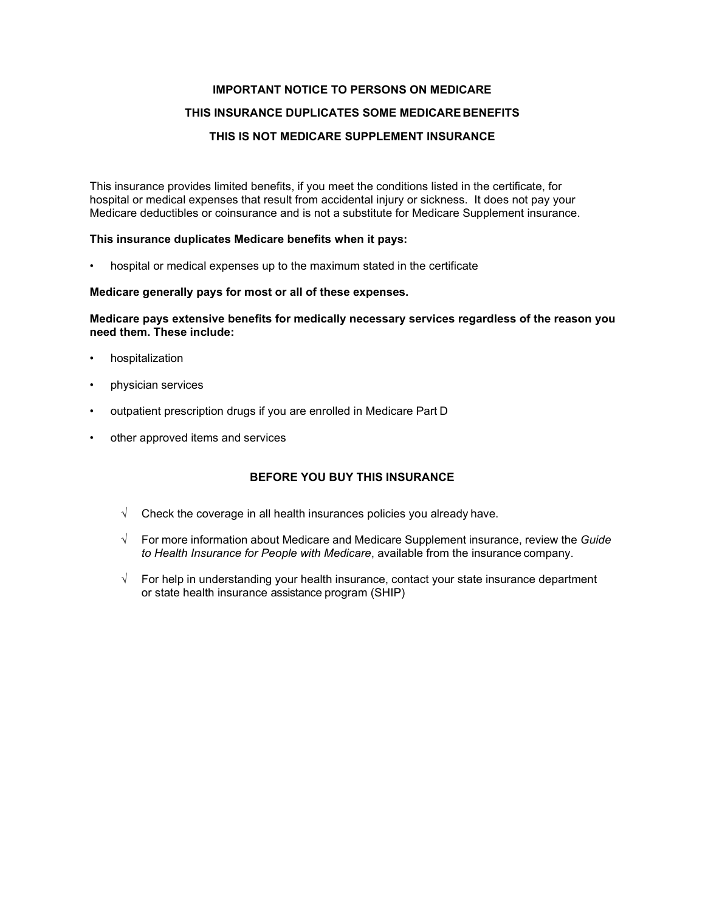#### **IMPORTANT NOTICE TO PERSONS ON MEDICARE**

#### **THIS INSURANCE DUPLICATES SOME MEDICAREBENEFITS**

#### **THIS IS NOT MEDICARE SUPPLEMENT INSURANCE**

This insurance provides limited benefits, if you meet the conditions listed in the certificate, for hospital or medical expenses that result from accidental injury or sickness. It does not pay your Medicare deductibles or coinsurance and is not a substitute for Medicare Supplement insurance.

#### **This insurance duplicates Medicare benefits when it pays:**

• hospital or medical expenses up to the maximum stated in the certificate

#### **Medicare generally pays for most or all of these expenses.**

**Medicare pays extensive benefits for medically necessary services regardless of the reason you need them. These include:**

- hospitalization
- physician services
- outpatient prescription drugs if you are enrolled in Medicare Part D
- other approved items and services

# **BEFORE YOU BUY THIS INSURANCE**

- $\sqrt{\phantom{a}}$  Check the coverage in all health insurances policies you already have.
- √ For more information about Medicare and Medicare Supplement insurance, review the *Guide to Health Insurance for People with Medicare*, available from the insurance company.
- √ For help in understanding your health insurance, contact your state insurance department or state health insurance assistance program (SHIP)